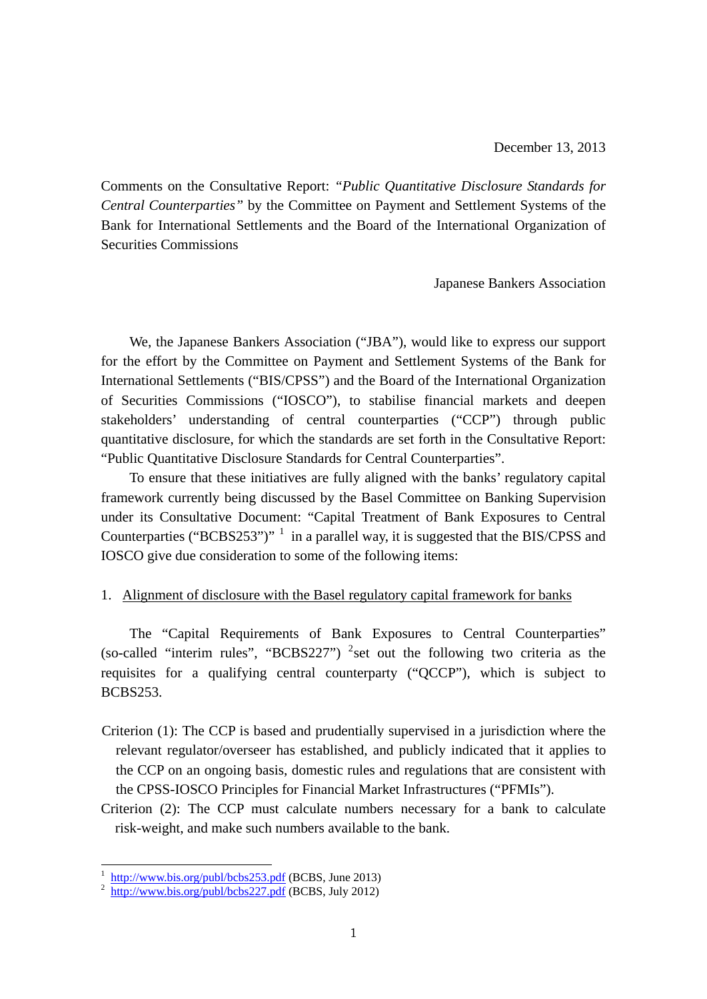Comments on the Consultative Report: *"Public Quantitative Disclosure Standards for Central Counterparties"* by the Committee on Payment and Settlement Systems of the Bank for International Settlements and the Board of the International Organization of Securities Commissions

Japanese Bankers Association

We, the Japanese Bankers Association ("JBA"), would like to express our support for the effort by the Committee on Payment and Settlement Systems of the Bank for International Settlements ("BIS/CPSS") and the Board of the International Organization of Securities Commissions ("IOSCO"), to stabilise financial markets and deepen stakeholders' understanding of central counterparties ("CCP") through public quantitative disclosure, for which the standards are set forth in the Consultative Report: "Public Quantitative Disclosure Standards for Central Counterparties".

To ensure that these initiatives are fully aligned with the banks' regulatory capital framework currently being discussed by the Basel Committee on Banking Supervision under its Consultative Document: "Capital Treatment of Bank Exposures to Central Counterparties ("BCBS253")"  $^{-1}$  in a parallel way, it is suggested that the BIS/CPSS and IOSCO give due consideration to some of the following items:

## 1. Alignment of disclosure with the Basel regulatory capital framework for banks

The "Capital Requirements of Bank Exposures to Central Counterparties" (so-called "interim rules", "BCBS227") <sup>2</sup> set out the following two criteria as the requisites for a qualifying central counterparty ("QCCP"), which is subject to BCBS253.

- Criterion (1): The CCP is based and prudentially supervised in a jurisdiction where the relevant regulator/overseer has established, and publicly indicated that it applies to the CCP on an ongoing basis, domestic rules and regulations that are consistent with the CPSS-IOSCO Principles for Financial Market Infrastructures ("PFMIs").
- Criterion (2): The CCP must calculate numbers necessary for a bank to calculate risk-weight, and make such numbers available to the bank.

-

 $\frac{1}{2}$  http://www.bis.org/publ/bcbs253.pdf (BCBS, June 2013) http://www.bis.org/publ/bcbs227.pdf (BCBS, July 2012)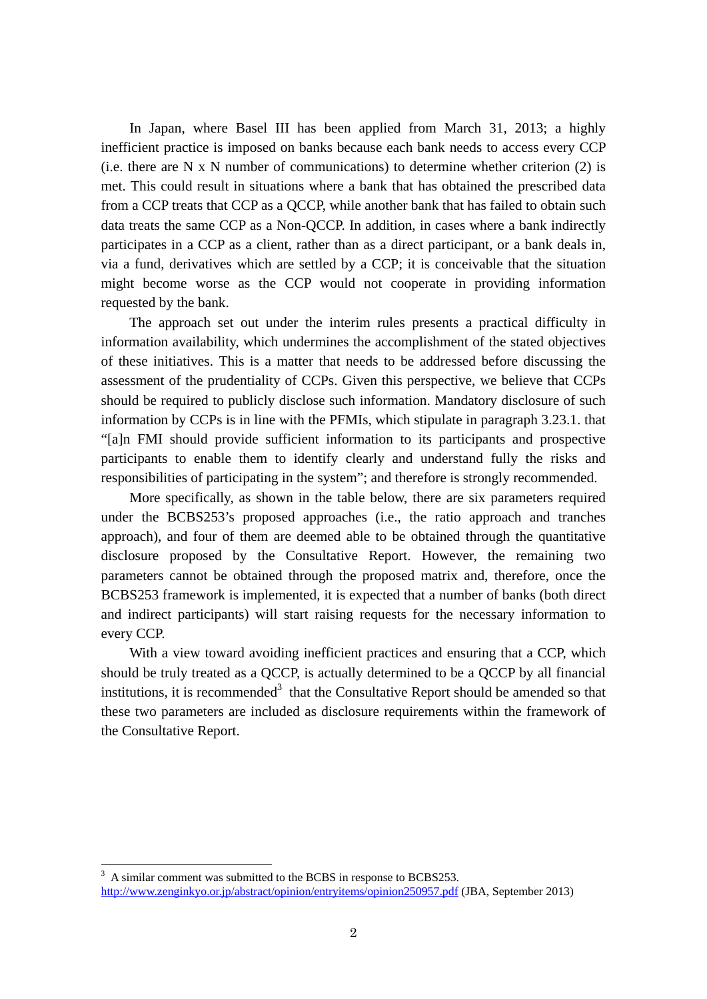In Japan, where Basel III has been applied from March 31, 2013; a highly inefficient practice is imposed on banks because each bank needs to access every CCP (i.e. there are N x N number of communications) to determine whether criterion  $(2)$  is met. This could result in situations where a bank that has obtained the prescribed data from a CCP treats that CCP as a QCCP, while another bank that has failed to obtain such data treats the same CCP as a Non-QCCP. In addition, in cases where a bank indirectly participates in a CCP as a client, rather than as a direct participant, or a bank deals in, via a fund, derivatives which are settled by a CCP; it is conceivable that the situation might become worse as the CCP would not cooperate in providing information requested by the bank.

The approach set out under the interim rules presents a practical difficulty in information availability, which undermines the accomplishment of the stated objectives of these initiatives. This is a matter that needs to be addressed before discussing the assessment of the prudentiality of CCPs. Given this perspective, we believe that CCPs should be required to publicly disclose such information. Mandatory disclosure of such information by CCPs is in line with the PFMIs, which stipulate in paragraph 3.23.1. that "[a]n FMI should provide sufficient information to its participants and prospective participants to enable them to identify clearly and understand fully the risks and responsibilities of participating in the system"; and therefore is strongly recommended.

More specifically, as shown in the table below, there are six parameters required under the BCBS253's proposed approaches (i.e., the ratio approach and tranches approach), and four of them are deemed able to be obtained through the quantitative disclosure proposed by the Consultative Report. However, the remaining two parameters cannot be obtained through the proposed matrix and, therefore, once the BCBS253 framework is implemented, it is expected that a number of banks (both direct and indirect participants) will start raising requests for the necessary information to every CCP.

With a view toward avoiding inefficient practices and ensuring that a CCP, which should be truly treated as a QCCP, is actually determined to be a QCCP by all financial institutions, it is recommended<sup>3</sup> that the Consultative Report should be amended so that these two parameters are included as disclosure requirements within the framework of the Consultative Report.

-

 $3\,$  A similar comment was submitted to the BCBS in response to BCBS253. http://www.zenginkyo.or.jp/abstract/opinion/entryitems/opinion250957.pdf (JBA, September 2013)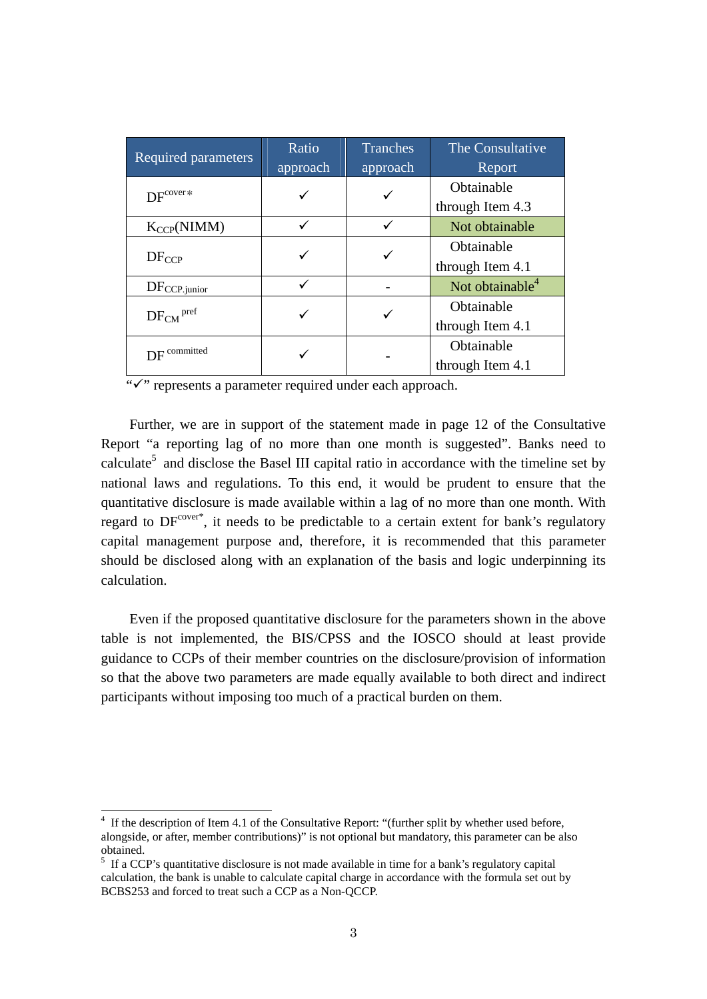| <b>Required parameters</b> | Ratio<br>approach | <b>Tranches</b> | The Consultative            |
|----------------------------|-------------------|-----------------|-----------------------------|
|                            |                   | approach        | Report                      |
| $DF^{cover*}$              |                   | ✓               | Obtainable                  |
|                            |                   |                 | through Item 4.3            |
| $K_{CCP}(NIMM)$            |                   |                 | Not obtainable              |
| $DF_{CCP}$                 | ✓                 | ✓               | Obtainable                  |
|                            |                   |                 | through Item 4.1            |
| $DF_{CCP.$ junior          | ✓                 |                 | Not obtainable <sup>4</sup> |
| $DF_{CM}$ <sup>pref</sup>  |                   |                 | Obtainable                  |
|                            |                   |                 | through Item 4.1            |
| $DF$ <sup>committed</sup>  |                   |                 | Obtainable                  |
|                            |                   |                 | through Item 4.1            |

"" represents a parameter required under each approach.

Further, we are in support of the statement made in page 12 of the Consultative Report "a reporting lag of no more than one month is suggested". Banks need to calculate<sup>5</sup> and disclose the Basel III capital ratio in accordance with the timeline set by national laws and regulations. To this end, it would be prudent to ensure that the quantitative disclosure is made available within a lag of no more than one month. With regard to  $DF^{cover^*}$ , it needs to be predictable to a certain extent for bank's regulatory capital management purpose and, therefore, it is recommended that this parameter should be disclosed along with an explanation of the basis and logic underpinning its calculation.

Even if the proposed quantitative disclosure for the parameters shown in the above table is not implemented, the BIS/CPSS and the IOSCO should at least provide guidance to CCPs of their member countries on the disclosure/provision of information so that the above two parameters are made equally available to both direct and indirect participants without imposing too much of a practical burden on them.

 $\overline{a}$ 

<sup>4</sup> If the description of Item 4.1 of the Consultative Report: "(further split by whether used before, alongside, or after, member contributions)" is not optional but mandatory, this parameter can be also obtained.

<sup>&</sup>lt;sup>5</sup> If a CCP's quantitative disclosure is not made available in time for a bank's regulatory capital calculation, the bank is unable to calculate capital charge in accordance with the formula set out by BCBS253 and forced to treat such a CCP as a Non-QCCP.